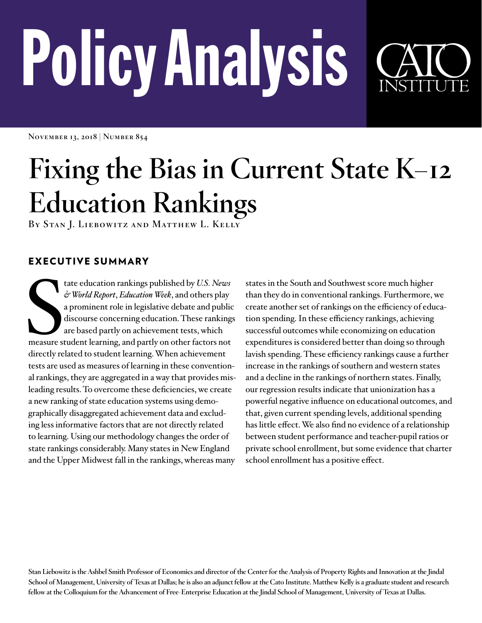# PolicyAnalysis



**November 13, 2018 | Number 854**

# **Fixing the Bias in Current State K–12 Education Rankings**

**By Stan J. Liebowitz and Matthew L. Kelly**

# EXECUTIVE SUMMARY

tate education rankings published by U.S. News<br>
& World Report, Education Week, and others play<br>
a prominent role in legislative debate and public<br>
discourse concerning education. These ranking<br>
are based partly on achieve tate education rankings published by *U.S. News & World Report*, *Education Week*, and others play a prominent role in legislative debate and public discourse concerning education. These rankings are based partly on achievement tests, which directly related to student learning. When achievement tests are used as measures of learning in these conventional rankings, they are aggregated in a way that provides misleading results. To overcome these deficiencies, we create a new ranking of state education systems using demographically disaggregated achievement data and excluding less informative factors that are not directly related to learning. Using our methodology changes the order of state rankings considerably. Many states in New England and the Upper Midwest fall in the rankings, whereas many

states in the South and Southwest score much higher than they do in conventional rankings. Furthermore, we create another set of rankings on the efficiency of education spending. In these efficiency rankings, achieving successful outcomes while economizing on education expenditures is considered better than doing so through lavish spending. These efficiency rankings cause a further increase in the rankings of southern and western states and a decline in the rankings of northern states. Finally, our regression results indicate that unionization has a powerful negative influence on educational outcomes, and that, given current spending levels, additional spending has little effect. We also find no evidence of a relationship between student performance and teacher-pupil ratios or private school enrollment, but some evidence that charter school enrollment has a positive effect.

**Stan Liebowitz is the Ashbel Smith Professor of Economics and director of the Center for the Analysis of Property Rights and Innovation at the Jindal School of Management, University of Texas at Dallas; he is also an adjunct fellow at the Cato Institute. Matthew Kelly is a graduate student and research fellow at the Colloquium for the Advancement of Free-Enterprise Education at the Jindal School of Management, University of Texas at Dallas.**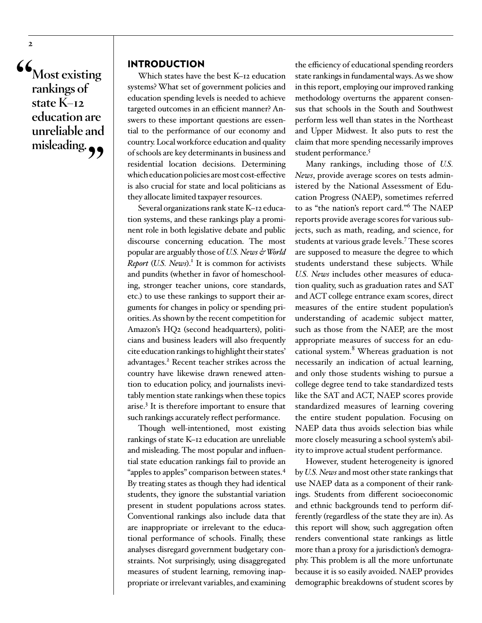**"Most existing rankings of state K–12 education are unreliable and**  misleading.

**2**

#### INTRODUCTION

Which states have the best K–12 education systems? What set of government policies and education spending levels is needed to achieve targeted outcomes in an efficient manner? Answers to these important questions are essential to the performance of our economy and country. Local workforce education and quality of schools are key determinants in business and residential location decisions. Determining which education policies are most cost-effective is also crucial for state and local politicians as they allocate limited taxpayer resources.

Several organizations rank state K–12 education systems, and these rankings play a prominent role in both legislative debate and public discourse concerning education. The most popular are arguably those of *U.S. News & World*  Report (U.S. News).<sup>1</sup> It is common for activists and pundits (whether in favor of homeschooling, stronger teacher unions, core standards, etc.) to use these rankings to support their arguments for changes in policy or spending priorities. As shown by the recent competition for Amazon's HQ2 (second headquarters), politicians and business leaders will also frequently cite education rankings to highlight their states' advantages.<sup>2</sup> Recent teacher strikes across the country have likewise drawn renewed attention to education policy, and journalists inevitably mention state rankings when these topics arise.3 It is therefore important to ensure that such rankings accurately reflect performance.

Though well-intentioned, most existing rankings of state K–12 education are unreliable and misleading. The most popular and influential state education rankings fail to provide an "apples to apples" comparison between states.4 By treating states as though they had identical students, they ignore the substantial variation present in student populations across states. Conventional rankings also include data that are inappropriate or irrelevant to the educational performance of schools. Finally, these analyses disregard government budgetary constraints. Not surprisingly, using disaggregated measures of student learning, removing inappropriate or irrelevant variables, and examining

the efficiency of educational spending reorders state rankings in fundamental ways. As we show in this report, employing our improved ranking methodology overturns the apparent consensus that schools in the South and Southwest perform less well than states in the Northeast and Upper Midwest. It also puts to rest the claim that more spending necessarily improves student performance.<sup>5</sup>

Many rankings, including those of *U.S. News*, provide average scores on tests administered by the National Assessment of Education Progress (NAEP), sometimes referred to as "the nation's report card."<sup>6</sup> The NAEP reports provide average scores for various subjects, such as math, reading, and science, for students at various grade levels.<sup>7</sup> These scores are supposed to measure the degree to which students understand these subjects. While *U.S. News* includes other measures of education quality, such as graduation rates and SAT and ACT college entrance exam scores, direct measures of the entire student population's understanding of academic subject matter, such as those from the NAEP, are the most appropriate measures of success for an educational system.<sup>8</sup> Whereas graduation is not necessarily an indication of actual learning, and only those students wishing to pursue a college degree tend to take standardized tests like the SAT and ACT, NAEP scores provide standardized measures of learning covering the entire student population. Focusing on NAEP data thus avoids selection bias while more closely measuring a school system's ability to improve actual student performance.

However, student heterogeneity is ignored by *U.S. News* and most other state rankings that use NAEP data as a component of their rankings. Students from different socioeconomic and ethnic backgrounds tend to perform differently (regardless of the state they are in). As this report will show, such aggregation often renders conventional state rankings as little more than a proxy for a jurisdiction's demography. This problem is all the more unfortunate because it is so easily avoided. NAEP provides demographic breakdowns of student scores by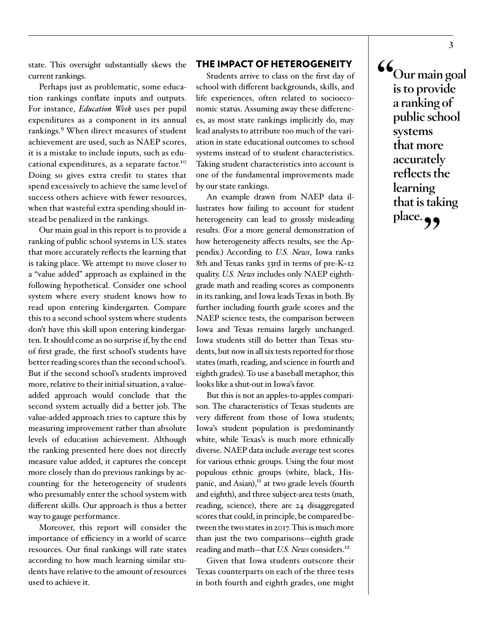state. This oversight substantially skews the current rankings.

Perhaps just as problematic, some education rankings conflate inputs and outputs. For instance, *Education Week* uses per pupil expenditures as a component in its annual rankings.<sup>9</sup> When direct measures of student achievement are used, such as NAEP scores, it is a mistake to include inputs, such as educational expenditures, as a separate factor.<sup>10</sup> Doing so gives extra credit to states that spend excessively to achieve the same level of success others achieve with fewer resources, when that wasteful extra spending should instead be penalized in the rankings.

Our main goal in this report is to provide a ranking of public school systems in U.S. states that more accurately reflects the learning that is taking place. We attempt to move closer to a "value added" approach as explained in the following hypothetical. Consider one school system where every student knows how to read upon entering kindergarten. Compare this to a second school system where students don't have this skill upon entering kindergarten. It should come as no surprise if, by the end of first grade, the first school's students have better reading scores than the second school's. But if the second school's students improved more, relative to their initial situation, a valueadded approach would conclude that the second system actually did a better job. The value-added approach tries to capture this by measuring improvement rather than absolute levels of education achievement. Although the ranking presented here does not directly measure value added, it captures the concept more closely than do previous rankings by accounting for the heterogeneity of students who presumably enter the school system with different skills. Our approach is thus a better way to gauge performance.

Moreover, this report will consider the importance of efficiency in a world of scarce resources. Our final rankings will rate states according to how much learning similar students have relative to the amount of resources used to achieve it.

#### THE IMPACT OF HETEROGENEITY

Students arrive to class on the first day of school with different backgrounds, skills, and life experiences, often related to socioeconomic status. Assuming away these differences, as most state rankings implicitly do, may lead analysts to attribute too much of the variation in state educational outcomes to school systems instead of to student characteristics. Taking student characteristics into account is one of the fundamental improvements made by our state rankings.

An example drawn from NAEP data illustrates how failing to account for student heterogeneity can lead to grossly misleading results. (For a more general demonstration of how heterogeneity affects results, see the Appendix.) According to *U.S. News*, Iowa ranks 8th and Texas ranks 33rd in terms of pre-K–12 quality. *U.S. News* includes only NAEP eighthgrade math and reading scores as components in its ranking, and Iowa leads Texas in both. By further including fourth grade scores and the NAEP science tests, the comparison between Iowa and Texas remains largely unchanged. Iowa students still do better than Texas students, but now in all six tests reported for those states (math, reading, and science in fourth and eighth grades). To use a baseball metaphor, this looks like a shut-out in Iowa's favor.

But this is not an apples-to-apples comparison. The characteristics of Texas students are very different from those of Iowa students; Iowa's student population is predominantly white, while Texas's is much more ethnically diverse. NAEP data include average test scores for various ethnic groups. Using the four most populous ethnic groups (white, black, Hispanic, and Asian), $<sup>II</sup>$  at two grade levels (fourth</sup> and eighth), and three subject-area tests (math, reading, science), there are 24 disaggregated scores that could, in principle, be compared between the two states in 2017. This is much more than just the two comparisons—eighth grade reading and math—that *U.S. News* considers.12

Given that Iowa students outscore their Texas counterparts on each of the three tests in both fourth and eighth grades, one might **"Our main goal is to provide a ranking of public school systems that more accurately reflects the learning that is taking**  place.  $\frac{1}{2}$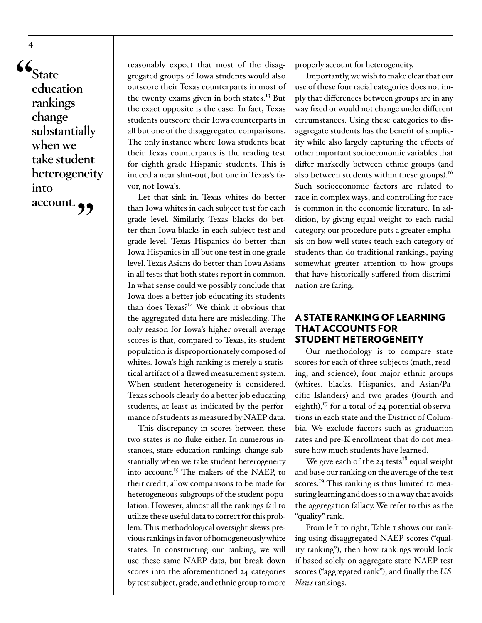**"State education rankings change substantially when we take student heterogeneity into account."**

reasonably expect that most of the disaggregated groups of Iowa students would also outscore their Texas counterparts in most of the twenty exams given in both states.<sup>13</sup> But the exact opposite is the case. In fact, Texas students outscore their Iowa counterparts in all but one of the disaggregated comparisons. The only instance where Iowa students beat their Texas counterparts is the reading test for eighth grade Hispanic students. This is indeed a near shut-out, but one in Texas's favor, not Iowa's.

Let that sink in. Texas whites do better than Iowa whites in each subject test for each grade level. Similarly, Texas blacks do better than Iowa blacks in each subject test and grade level. Texas Hispanics do better than Iowa Hispanics in all but one test in one grade level. Texas Asians do better than Iowa Asians in all tests that both states report in common. In what sense could we possibly conclude that Iowa does a better job educating its students than does Texas?<sup>14</sup> We think it obvious that the aggregated data here are misleading. The only reason for Iowa's higher overall average scores is that, compared to Texas, its student population is disproportionately composed of whites. Iowa's high ranking is merely a statistical artifact of a flawed measurement system. When student heterogeneity is considered, Texas schools clearly do a better job educating students, at least as indicated by the performance of students as measured by NAEP data.

This discrepancy in scores between these two states is no fluke either. In numerous instances, state education rankings change substantially when we take student heterogeneity into account.<sup>15</sup> The makers of the NAEP, to their credit, allow comparisons to be made for heterogeneous subgroups of the student population. However, almost all the rankings fail to utilize these useful data to correct for this problem. This methodological oversight skews previous rankings in favor of homogeneously white states. In constructing our ranking, we will use these same NAEP data, but break down scores into the aforementioned 24 categories by test subject, grade, and ethnic group to more

properly account for heterogeneity.

Importantly, we wish to make clear that our use of these four racial categories does not imply that differences between groups are in any way fixed or would not change under different circumstances. Using these categories to disaggregate students has the benefit of simplicity while also largely capturing the effects of other important socioeconomic variables that differ markedly between ethnic groups (and also between students within these groups). $^{16}$ Such socioeconomic factors are related to race in complex ways, and controlling for race is common in the economic literature. In addition, by giving equal weight to each racial category, our procedure puts a greater emphasis on how well states teach each category of students than do traditional rankings, paying somewhat greater attention to how groups that have historically suffered from discrimination are faring.

## A STATE RANKING OF LEARNING THAT ACCOUNTS FOR STUDENT HETEROGENEITY

Our methodology is to compare state scores for each of three subjects (math, reading, and science), four major ethnic groups (whites, blacks, Hispanics, and Asian/Pacific Islanders) and two grades (fourth and eighth), $^{17}$  for a total of 24 potential observations in each state and the District of Columbia. We exclude factors such as graduation rates and pre-K enrollment that do not measure how much students have learned.

We give each of the  $24$  tests<sup>18</sup> equal weight and base our ranking on the average of the test scores.<sup>19</sup> This ranking is thus limited to measuring learning and does so in a way that avoids the aggregation fallacy. We refer to this as the "quality" rank.

From left to right, Table 1 shows our ranking using disaggregated NAEP scores ("quality ranking"), then how rankings would look if based solely on aggregate state NAEP test scores ("aggregated rank"), and finally the *U.S. News* rankings.

**4**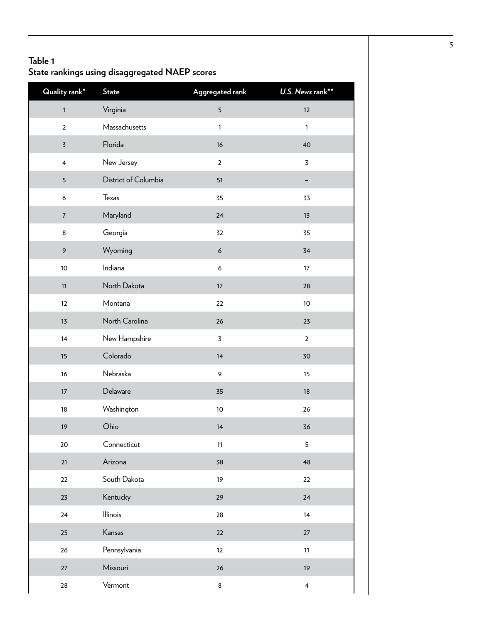# **Table 1 State rankings using disaggregated NAEP scores**

| Quality rank*           | <b>State</b>         | Aggregated rank  | U.S. News rank**        |
|-------------------------|----------------------|------------------|-------------------------|
| $\mathbf 1$             | Virginia             | 5                | 12                      |
| $\mathbf 2$             | Massachusetts        | $\mathbf{1}$     | $\mathbf{1}$            |
| $\overline{\mathbf{5}}$ | Florida              | 16               | 40                      |
| $\overline{\mathbf{4}}$ | New Jersey           | $\overline{2}$   | 3                       |
| 5                       | District of Columbia | 51               | -                       |
| 6                       | Texas                | 35               | 33                      |
| $\boldsymbol{7}$        | Maryland             | 24               | 13                      |
| 8                       | Georgia              | 32               | 35                      |
| $\mathsf 9$             | Wyoming              | $\boldsymbol{6}$ | 34                      |
| $10$                    | Indiana              | 6                | 17                      |
| 11                      | North Dakota         | $17\,$           | 28                      |
| 12                      | Montana              | 22               | $10$                    |
| 13                      | North Carolina       | 26               | 23                      |
| 14                      | New Hampshire        | $\overline{5}$   | $\overline{2}$          |
| 15                      | Colorado             | 14               | 30                      |
| 16                      | Nebraska             | 9                | 15                      |
| $17\,$                  | Delaware             | 35               | 18                      |
| 18                      | Washington           | $10\,$           | 26                      |
| 19                      | Ohio                 | 14               | 36                      |
| 20                      | Connecticut          | 11               | 5                       |
| 21                      | Arizona              | 38               | 48                      |
| 22                      | South Dakota         | 19               | 22                      |
| 23                      | Kentucky             | 29               | 24                      |
| 24                      | Illinois             | 28               | 14                      |
| 25                      | Kansas               | $22\,$           | $27\,$                  |
| 26                      | Pennsylvania         | 12               | 11                      |
| 27                      | Missouri             | 26               | 19                      |
| ${\bf 28}$              | Vermont              | 8                | $\overline{\mathbf{4}}$ |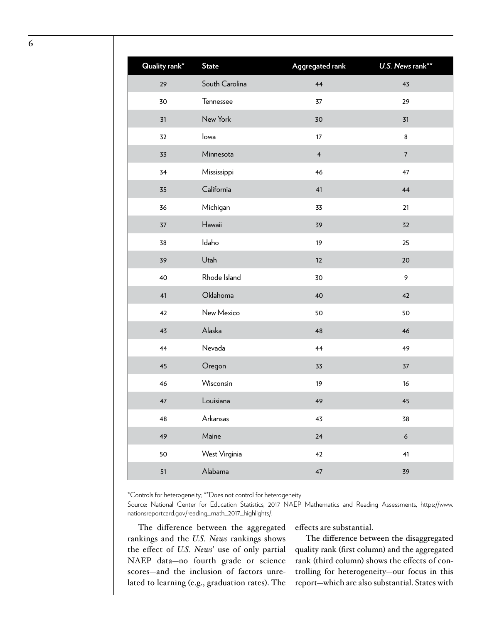| <b>Quality rank*</b> | <b>State</b>   | Aggregated rank         | U.S. News rank** |
|----------------------|----------------|-------------------------|------------------|
| 29                   | South Carolina | 44                      | 43               |
| 30                   | Tennessee      | 37                      | 29               |
| 31                   | New York       | 30                      | 31               |
| 32                   | lowa           | 17                      | 8                |
| 33                   | Minnesota      | $\overline{\mathbf{4}}$ | $\boldsymbol{7}$ |
| 34                   | Mississippi    | 46                      | 47               |
| 35                   | California     | 41                      | 44               |
| 36                   | Michigan       | 33                      | 21               |
| 37                   | Hawaii         | 39                      | 32               |
| 38                   | Idaho          | 19                      | 25               |
| 39                   | Utah           | 12                      | 20               |
| 40                   | Rhode Island   | 30                      | 9                |
| 41                   | Oklahoma       | 40                      | 42               |
| 42                   | New Mexico     | 50                      | 50               |
| 43                   | Alaska         | 48                      | 46               |
| 44                   | Nevada         | 44                      | 49               |
| 45                   | Oregon         | 33                      | 37               |
| 46                   | Wisconsin      | 19                      | 16               |
| 47                   | Louisiana      | 49                      | 45               |
| 48                   | Arkansas       | 43                      | 38               |
| 49                   | Maine          | 24                      | $\boldsymbol{6}$ |
| 50                   | West Virginia  | 42                      | 41               |
| 51                   | Alabama        | 47                      | 39               |

\*Controls for heterogeneity; \*\*Does not control for heterogeneity

Source: National Center for Education Statistics, 2017 NAEP Mathematics and Reading Assessments, [https://www.](https://www.nationsreportcard.gov/reading_math_2017_highlights/) [nationsreportcard.gov/reading\\_math\\_2017\\_highlights/.](https://www.nationsreportcard.gov/reading_math_2017_highlights/)

The difference between the aggregated rankings and the *U.S. News* rankings shows the effect of *U.S. News*' use of only partial NAEP data—no fourth grade or science scores—and the inclusion of factors unrelated to learning (e.g., graduation rates). The

effects are substantial.

The difference between the disaggregated quality rank (first column) and the aggregated rank (third column) shows the effects of controlling for heterogeneity—our focus in this report—which are also substantial. States with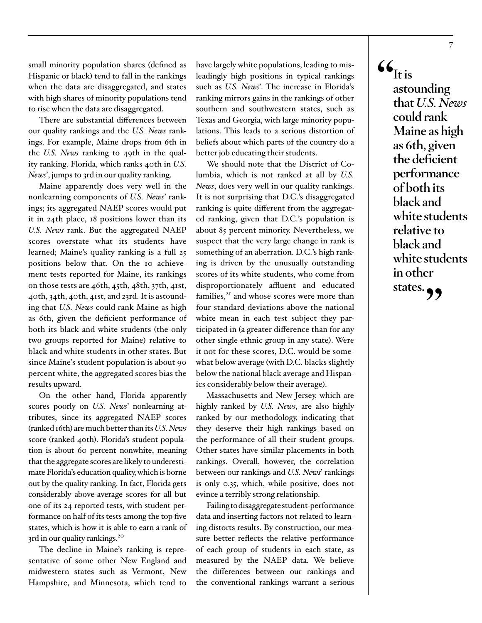small minority population shares (defined as Hispanic or black) tend to fall in the rankings when the data are disaggregated, and states with high shares of minority populations tend to rise when the data are disaggregated.

There are substantial differences between our quality rankings and the *U.S. News* rankings. For example, Maine drops from 6th in the *U.S. News* ranking to 49th in the quality ranking. Florida, which ranks 40th in *U.S. News*', jumps to 3rd in our quality ranking.

Maine apparently does very well in the nonlearning components of *U.S. News*' rankings; its aggregated NAEP scores would put it in 24th place, 18 positions lower than its *U.S. News* rank. But the aggregated NAEP scores overstate what its students have learned; Maine's quality ranking is a full 25 positions below that. On the 10 achievement tests reported for Maine, its rankings on those tests are 46th, 45th, 48th, 37th, 41st, 40th, 34th, 40th, 41st, and 23rd. It is astounding that *U.S. News* could rank Maine as high as 6th, given the deficient performance of both its black and white students (the only two groups reported for Maine) relative to black and white students in other states. But since Maine's student population is about 90 percent white, the aggregated scores bias the results upward.

On the other hand, Florida apparently scores poorly on *U.S. News*' nonlearning attributes, since its aggregated NAEP scores (ranked 16th) are much better than its *U.S. News* score (ranked 40th). Florida's student population is about 60 percent nonwhite, meaning that the aggregate scores are likely to underestimate Florida's education quality, which is borne out by the quality ranking. In fact, Florida gets considerably above-average scores for all but one of its 24 reported tests, with student performance on half of its tests among the top five states, which is how it is able to earn a rank of 3rd in our quality rankings.<sup>20</sup>

The decline in Maine's ranking is representative of some other New England and midwestern states such as Vermont, New Hampshire, and Minnesota, which tend to have largely white populations, leading to misleadingly high positions in typical rankings such as *U.S. News*'. The increase in Florida's ranking mirrors gains in the rankings of other southern and southwestern states, such as Texas and Georgia, with large minority populations. This leads to a serious distortion of beliefs about which parts of the country do a better job educating their students.

We should note that the District of Columbia, which is not ranked at all by *U.S. News*, does very well in our quality rankings. It is not surprising that D.C.'s disaggregated ranking is quite different from the aggregated ranking, given that D.C.'s population is about 85 percent minority. Nevertheless, we suspect that the very large change in rank is something of an aberration. D.C.'s high ranking is driven by the unusually outstanding scores of its white students, who come from disproportionately affluent and educated families, $^{21}$  and whose scores were more than four standard deviations above the national white mean in each test subject they participated in (a greater difference than for any other single ethnic group in any state). Were it not for these scores, D.C. would be somewhat below average (with D.C. blacks slightly below the national black average and Hispanics considerably below their average).

Massachusetts and New Jersey, which are highly ranked by *U.S. News*, are also highly ranked by our methodology, indicating that they deserve their high rankings based on the performance of all their student groups. Other states have similar placements in both rankings. Overall, however, the correlation between our rankings and *U.S. News*' rankings is only 0.35, which, while positive, does not evince a terribly strong relationship.

Failing to disaggregate student-performance data and inserting factors not related to learning distorts results. By construction, our measure better reflects the relative performance of each group of students in each state, as measured by the NAEP data. We believe the differences between our rankings and the conventional rankings warrant a serious  $\mathcal{L}_{\text{It is}}$ **astounding that** *U.S. News* **could rank Maine as high as 6th, given the deficient performance of both its black and white students relative to black and white students in other**  states.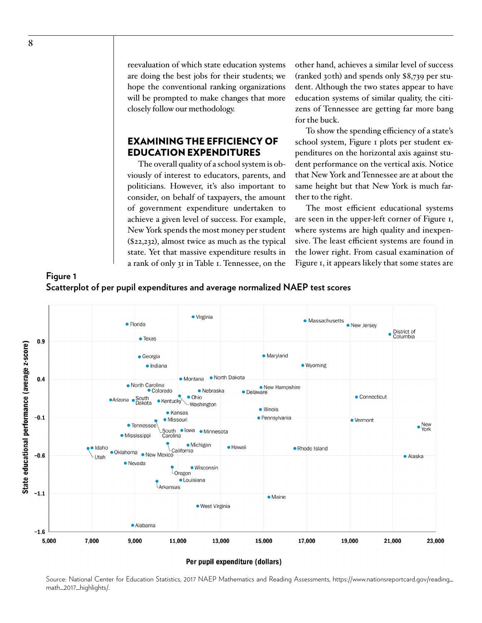reevaluation of which state education systems are doing the best jobs for their students; we hope the conventional ranking organizations will be prompted to make changes that more closely follow our methodology.

# EXAMINING THE EFFICIENCY OF EDUCATION EXPENDITURES

The overall quality of a school system is obviously of interest to educators, parents, and politicians. However, it's also important to consider, on behalf of taxpayers, the amount of government expenditure undertaken to achieve a given level of success. For example, New York spends the most money per student (\$22,232), almost twice as much as the typical state. Yet that massive expenditure results in a rank of only 31 in Table 1. Tennessee, on the

other hand, achieves a similar level of success (ranked 30th) and spends only \$8,739 per student. Although the two states appear to have education systems of similar quality, the citizens of Tennessee are getting far more bang for the buck.

To show the spending efficiency of a state's school system, Figure 1 plots per student expenditures on the horizontal axis against student performance on the vertical axis. Notice that New York and Tennessee are at about the same height but that New York is much farther to the right.

The most efficient educational systems are seen in the upper-left corner of Figure 1, where systems are high quality and inexpensive. The least efficient systems are found in the lower right. From casual examination of Figure 1, it appears likely that some states are





Per pupil expenditure (dollars)

Source: National Center for Education Statistics, 2017 NAEP Mathematics and Reading Assessments, [https://www.nationsreportcard.gov/reading\\_](https://www.nationsreportcard.gov/reading_math_2017_highlights/) [math\\_2017\\_highlights/.](https://www.nationsreportcard.gov/reading_math_2017_highlights/)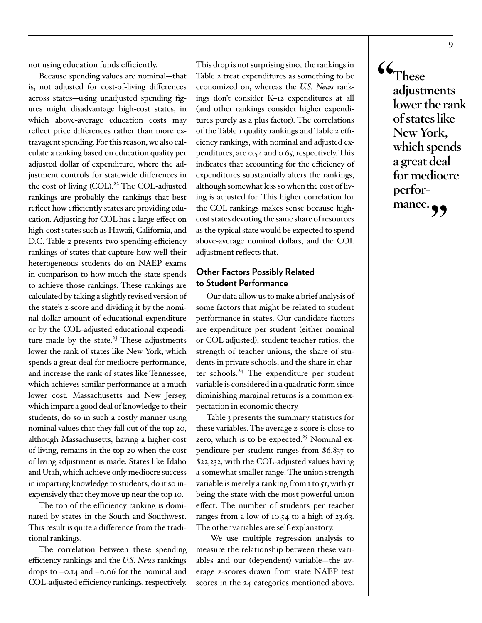not using education funds efficiently.

Because spending values are nominal—that is, not adjusted for cost-of-living differences across states—using unadjusted spending figures might disadvantage high-cost states, in which above-average education costs may reflect price differences rather than more extravagent spending. For this reason, we also calculate a ranking based on education quality per adjusted dollar of expenditure, where the adjustment controls for statewide differences in the cost of living (COL).<sup>22</sup> The COL-adjusted rankings are probably the rankings that best reflect how efficiently states are providing education. Adjusting for COL has a large effect on high-cost states such as Hawaii, California, and D.C. Table 2 presents two spending-efficiency rankings of states that capture how well their heterogeneous students do on NAEP exams in comparison to how much the state spends to achieve those rankings. These rankings are calculated by taking a slightly revised version of the state's z-score and dividing it by the nominal dollar amount of educational expenditure or by the COL-adjusted educational expenditure made by the state. $23$  These adjustments lower the rank of states like New York, which spends a great deal for mediocre performance, and increase the rank of states like Tennessee, which achieves similar performance at a much lower cost. Massachusetts and New Jersey, which impart a good deal of knowledge to their students, do so in such a costly manner using nominal values that they fall out of the top 20, although Massachusetts, having a higher cost of living, remains in the top 20 when the cost of living adjustment is made. States like Idaho and Utah, which achieve only mediocre success in imparting knowledge to students, do it so inexpensively that they move up near the top 10.

The top of the efficiency ranking is dominated by states in the South and Southwest. This result is quite a difference from the traditional rankings.

The correlation between these spending efficiency rankings and the *U.S. News* rankings drops to –0.14 and –0.06 for the nominal and COL-adjusted efficiency rankings, respectively.

This drop is not surprising since the rankings in Table 2 treat expenditures as something to be economized on, whereas the *U.S. News* rankings don't consider K–12 expenditures at all (and other rankings consider higher expenditures purely as a plus factor). The correlations of the Table 1 quality rankings and Table 2 efficiency rankings, with nominal and adjusted expenditures, are 0.54 and 0.65, respectively. This indicates that accounting for the efficiency of expenditures substantially alters the rankings, although somewhat less so when the cost of living is adjusted for. This higher correlation for the COL rankings makes sense because highcost states devoting the same share of resources as the typical state would be expected to spend above-average nominal dollars, and the COL adjustment reflects that.

## **Other Factors Possibly Related to Student Performance**

Our data allow us to make a brief analysis of some factors that might be related to student performance in states. Our candidate factors are expenditure per student (either nominal or COL adjusted), student-teacher ratios, the strength of teacher unions, the share of students in private schools, and the share in charter schools.<sup>24</sup> The expenditure per student variable is considered in a quadratic form since diminishing marginal returns is a common expectation in economic theory.

Table 3 presents the summary statistics for these variables. The average z-score is close to zero, which is to be expected.<sup>25</sup> Nominal expenditure per student ranges from \$6,837 to \$22,232, with the COL-adjusted values having a somewhat smaller range. The union strength variable is merely a ranking from 1 to 51, with 51 being the state with the most powerful union effect. The number of students per teacher ranges from a low of 10.54 to a high of 23.63. The other variables are self-explanatory.

 We use multiple regression analysis to measure the relationship between these variables and our (dependent) variable—the average z-scores drawn from state NAEP test scores in the 24 categories mentioned above. **"These adjustments lower the rank of states like New York, which spends a great deal for mediocre perfor**mance.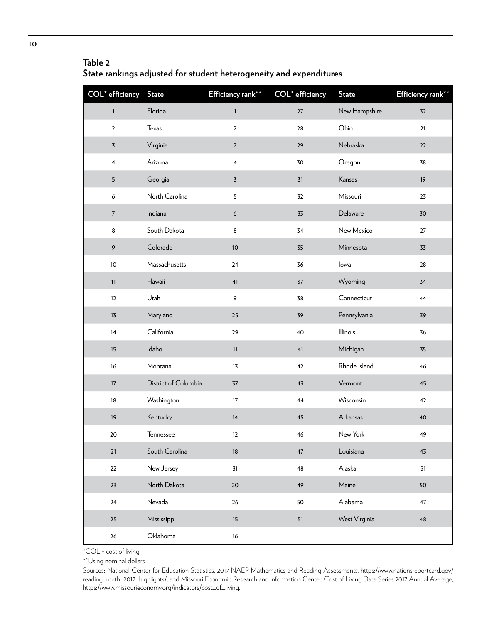# **Table 2**

**State rankings adjusted for student heterogeneity and expenditures** 

| <b>COL</b> * efficiency | <b>State</b>         | Efficiency rank**       | COL <sup>*</sup> efficiency | <b>State</b>  | Efficiency rank** |
|-------------------------|----------------------|-------------------------|-----------------------------|---------------|-------------------|
| $\mathbf{1}$            | Florida              | $\mathbf{1}$            | $27\,$                      | New Hampshire | 32                |
| $\overline{2}$          | Texas                | $\mathbf 2$             | 28                          | Ohio          | 21                |
| $\overline{5}$          | Virginia             | $\sqrt{ }$              | 29                          | Nebraska      | 22                |
| 4                       | Arizona              | $\overline{\mathbf{4}}$ | 30                          | Oregon        | 38                |
| 5                       | Georgia              | $\overline{3}$          | 31                          | Kansas        | 19                |
| 6                       | North Carolina       | 5                       | 32                          | Missouri      | 23                |
| $\boldsymbol{7}$        | Indiana              | $\boldsymbol{6}$        | 33                          | Delaware      | 30                |
| 8                       | South Dakota         | 8                       | 34                          | New Mexico    | 27                |
| 9                       | Colorado             | 10                      | 35                          | Minnesota     | 33                |
| $10$                    | Massachusetts        | 24                      | 36                          | lowa          | 28                |
| 11                      | Hawaii               | 41                      | 37                          | Wyoming       | 34                |
| 12                      | Utah                 | 9                       | 38                          | Connecticut   | 44                |
| 13                      | Maryland             | 25                      | 39                          | Pennsylvania  | 39                |
| 14                      | California           | 29                      | 40                          | Illinois      | 36                |
| 15                      | Idaho                | 11                      | 41                          | Michigan      | 35                |
| 16                      | Montana              | 13                      | 42                          | Rhode Island  | 46                |
| 17                      | District of Columbia | 37                      | 43                          | Vermont       | 45                |
| 18                      | Washington           | 17                      | 44                          | Wisconsin     | 42                |
| 19                      | Kentucky             | 14                      | 45                          | Arkansas      | 40                |
| $20\,$                  | Tennessee            | 12                      | 46                          | New York      | 49                |
| $21$                    | South Carolina       | 18                      | $47\,$                      | Louisiana     | 43                |
| 22                      | New Jersey           | 31                      | 48                          | Alaska        | 51                |
| 23                      | North Dakota         | $20\,$                  | 49                          | Maine         | 50                |
| $24$                    | Nevada               | 26                      | 50                          | Alabama       | 47                |
| 25                      | Mississippi          | 15                      | 51                          | West Virginia | 48                |
| $26\,$                  | Oklahoma             | 16                      |                             |               |                   |

\*COL = cost of living.

\*\*Using nominal dollars.

Sources: National Center for Education Statistics, 2017 NAEP Mathematics and Reading Assessments, [https://www.nationsreportcard.gov/](https://www.nationsreportcard.gov/reading_math_2017_highlights/) [reading\\_math\\_2017\\_highlights/;](https://www.nationsreportcard.gov/reading_math_2017_highlights/) and Missouri Economic Research and Information Center, Cost of Living Data Series 2017 Annual Average, [https://www.missourieconomy.org/indicators/cost\\_of\\_living.](https://www.missourieconomy.org/indicators/cost_of_living)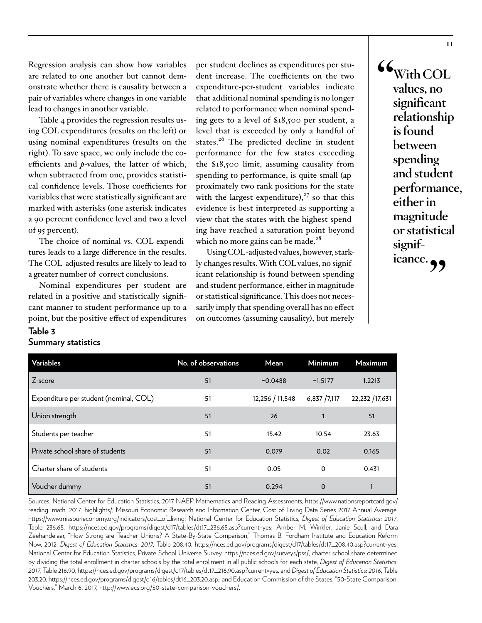Regression analysis can show how variables are related to one another but cannot demonstrate whether there is causality between a pair of variables where changes in one variable lead to changes in another variable.

Table 4 provides the regression results using COL expenditures (results on the left) or using nominal expenditures (results on the right). To save space, we only include the coefficients and *p*-values, the latter of which, when subtracted from one, provides statistical confidence levels. Those coefficients for variables that were statistically significant are marked with asterisks (one asterisk indicates a 90 percent confidence level and two a level of 95 percent).

The choice of nominal vs. COL expenditures leads to a large difference in the results. The COL-adjusted results are likely to lead to a greater number of correct conclusions.

Nominal expenditures per student are related in a positive and statistically significant manner to student performance up to a point, but the positive effect of expenditures

**Table 3**

**Summary statistics** 

# per student declines as expenditures per student increase. The coefficients on the two expenditure-per-student variables indicate that additional nominal spending is no longer related to performance when nominal spending gets to a level of \$18,500 per student, a level that is exceeded by only a handful of states.<sup>26</sup> The predicted decline in student performance for the few states exceeding the \$18,500 limit, assuming causality from spending to performance, is quite small (approximately two rank positions for the state with the largest expenditure), $27$  so that this evidence is best interpreted as supporting a view that the states with the highest spending have reached a saturation point beyond which no more gains can be made.<sup>28</sup>

Using COL-adjusted values, however, starkly changes results. With COL values, no significant relationship is found between spending and student performance, either in magnitude or statistical significance. This does not necessarily imply that spending overall has no effect on outcomes (assuming causality), but merely

**"With COL values, no significant relationship is found between spending and student performance, either in magnitude or statistical signif**icance.<sub>?</sub>

| <b>Variables</b>                       | No. of observations | Mean            | Minimum     | <b>Maximum</b> |
|----------------------------------------|---------------------|-----------------|-------------|----------------|
| $7$ -score                             | 51                  | $-0.0488$       | $-1.5177$   | 1.2213         |
| Expenditure per student (nominal, COL) | 51                  | 12,256 / 11,548 | 6,837/7,117 | 22,232 /17,631 |
| Union strength                         | 51                  | 26              |             | 51             |
| Students per teacher                   | 51                  | 15.42           | 10.54       | 23.63          |
| Private school share of students       | 51                  | 0.079           | 0.02        | 0.165          |
| Charter share of students              | 51                  | 0.05            | 0           | 0.431          |
| Voucher dummy                          | 51                  | 0.294           | $\Omega$    |                |

Sources: National Center for Education Statistics, 2017 NAEP Mathematics and Reading Assessments, [https://www.nationsreportcard.gov/](https://www.nationsreportcard.gov/reading_math_2017_highlights/) [reading\\_math\\_2017\\_highlights/;](https://www.nationsreportcard.gov/reading_math_2017_highlights/) Missouri Economic Research and Information Center, Cost of Living Data Series 2017 Annual Average, [https://www.missourieconomy.org/indicators/cost\\_of\\_living;](https://www.missourieconomy.org/indicators/cost_of_living) National Center for Education Statistics, *Digest of Education Statistics*: *2017*, Table 236.65, [https://nces.ed.gov/programs/digest/d17/tables/dt17\\_236.65.asp?current=yes](https://nces.ed.gov/programs/digest/d17/tables/dt17_236.65.asp?current=yes); Amber M. Winkler, Janie Scull, and Dara Zeehandelaar, "How Strong are Teacher Unions? A State-By-State Comparison," Thomas B. Fordham Institute and Education Reform Now, 2012; *Digest of Education Statistics*: *2017*, Table 208.40, [https://nces.ed.gov/programs/digest/d17/tables/dt17\\_208.40.asp?current=yes;](https://nces.ed.gov/programs/digest/d17/tables/dt17_208.40.asp?current=yes) National Center for Education Statistics, Private School Universe Survey, <https://nces.ed.gov/surveys/pss/>; charter school share determined by dividing the total enrollment in charter schools by the total enrollment in all public schools for each state, *Digest of Education Statistics*: *2017*, Table 216.90, [https://nces.ed.gov/programs/digest/d17/tables/dt17\\_216.90.asp?current=yes](https://nces.ed.gov/programs/digest/d17/tables/dt17_216.90.asp?current=yes), and *Digest of Education Statistics*: *2016*, Table 203.20, [https://nces.ed.gov/programs/digest/d16/tables/dt16\\_203.20.asp](https://nces.ed.gov/programs/digest/d16/tables/dt16_203.20.asp).; and Education Commission of the States, "50-State Comparison: Vouchers," March 6, 2017, [http://www.ecs.org/50-state-comparison-vouchers/.](http://www.ecs.org/50-state-comparison-vouchers/)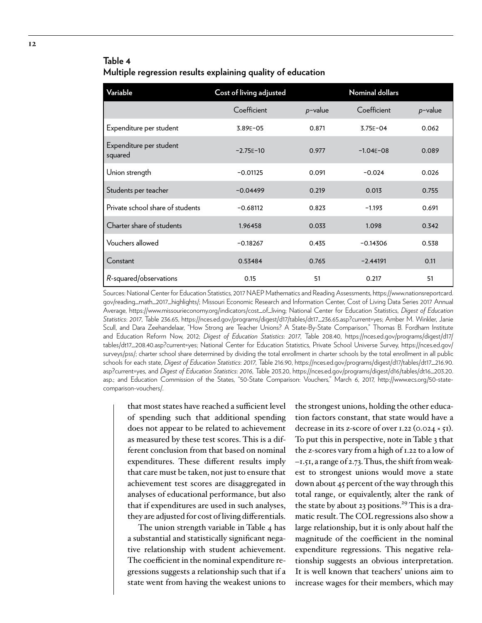# **Table 4 Multiple regression results explaining quality of education**

| Variable                           | Cost of living adjusted |            | <b>Nominal dollars</b> |            |
|------------------------------------|-------------------------|------------|------------------------|------------|
|                                    | Coefficient             | $p$ -value | Coefficient            | $p$ -value |
| Expenditure per student            | 3.89E-05                | 0.871      | $3.75E - 04$           | 0.062      |
| Expenditure per student<br>squared | $-2.75F-10$             | 0.977      | $-1.04F - 08$          | 0.089      |
| Union strength                     | $-0.01125$              | 0.091      | $-0.024$               | 0.026      |
| Students per teacher               | $-0.04499$              | 0.219      | 0.013                  | 0.755      |
| Private school share of students   | $-0.68112$              | 0.823      | $-1.193$               | 0.691      |
| Charter share of students          | 1.96458                 | 0.033      | 1.098                  | 0.342      |
| Vouchers allowed                   | $-0.18267$              | 0.435      | $-0.14306$             | 0.538      |
| Constant                           | 0.53484                 | 0.765      | $-2.44191$             | 0.11       |
| R-squared/observations             | 0.15                    | 51         | 0.217                  | 51         |

Sources: National Center for Education Statistics, 2017 NAEP Mathematics and Reading Assessments, [https://www.nationsreportcard.](https://www.nationsreportcard.gov/reading_math_2017_highlights/) [gov/reading\\_math\\_2017\\_highlights/](https://www.nationsreportcard.gov/reading_math_2017_highlights/); Missouri Economic Research and Information Center, Cost of Living Data Series 2017 Annual Average, [https://www.missourieconomy.org/indicators/cost\\_of\\_living;](https://www.missourieconomy.org/indicators/cost_of_living) National Center for Education Statistics, *Digest of Education Statistics*: *2017*, Table 236.65, [https://nces.ed.gov/programs/digest/d17/tables/dt17\\_236.65.asp?current=yes](https://nces.ed.gov/programs/digest/d17/tables/dt17_236.65.asp?current=yes); Amber M. Winkler, Janie Scull, and Dara Zeehandelaar, "How Strong are Teacher Unions? A State-By-State Comparison," Thomas B. Fordham Institute and Education Reform Now, 2012; *Digest of Education Statistics*: *2017*, Table 208.40, [https://nces.ed.gov/programs/digest/d17/](https://nces.ed.gov/programs/digest/d17/tables/dt17_208.40.asp?current=yes) [tables/dt17\\_208.40.asp?current=yes;](https://nces.ed.gov/programs/digest/d17/tables/dt17_208.40.asp?current=yes) National Center for Education Statistics, Private School Universe Survey, [https://nces.ed.gov/](https://nces.ed.gov/surveys/pss/) [surveys/pss/](https://nces.ed.gov/surveys/pss/); charter school share determined by dividing the total enrollment in charter schools by the total enrollment in all public schools for each state, *Digest of Education Statistics*: *2017*, Table 216.90, [https://nces.ed.gov/programs/digest/d17/tables/dt17\\_216.90.](https://nces.ed.gov/programs/digest/d17/tables/dt17_216.90.asp?current=yes) [asp?current=yes](https://nces.ed.gov/programs/digest/d17/tables/dt17_216.90.asp?current=yes), and *Digest of Education Statistics*: *2016*, Table 203.20, [https://nces.ed.gov/programs/digest/d16/tables/dt16\\_203.20.](https://nces.ed.gov/programs/digest/d16/tables/dt16_203.20.asp) [asp](https://nces.ed.gov/programs/digest/d16/tables/dt16_203.20.asp).; and Education Commission of the States, "50-State Comparison: Vouchers," March 6, 2017, [http://www.ecs.org/50-state](http://www.ecs.org/50-state-comparison-vouchers/)[comparison-vouchers/](http://www.ecs.org/50-state-comparison-vouchers/).

that most states have reached a sufficient level of spending such that additional spending does not appear to be related to achievement as measured by these test scores. This is a different conclusion from that based on nominal expenditures. These different results imply that care must be taken, not just to ensure that achievement test scores are disaggregated in analyses of educational performance, but also that if expenditures are used in such analyses, they are adjusted for cost of living differentials.

The union strength variable in Table 4 has a substantial and statistically significant negative relationship with student achievement. The coefficient in the nominal expenditure regressions suggests a relationship such that if a state went from having the weakest unions to

the strongest unions, holding the other education factors constant, that state would have a decrease in its z-score of over 1.22 (0.024  $\times$  51). To put this in perspective, note in Table 3 that the z-scores vary from a high of 1.22 to a low of –1.51, a range of 2.73. Thus, the shift from weakest to strongest unions would move a state down about 45 percent of the way through this total range, or equivalently, alter the rank of the state by about 23 positions.<sup>29</sup> This is a dramatic result. The COL regressions also show a large relationship, but it is only about half the magnitude of the coefficient in the nominal expenditure regressions. This negative relationship suggests an obvious interpretation. It is well known that teachers' unions aim to increase wages for their members, which may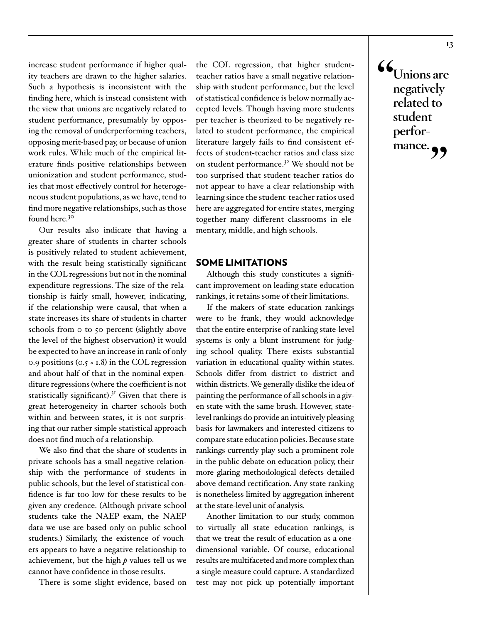increase student performance if higher quality teachers are drawn to the higher salaries. Such a hypothesis is inconsistent with the finding here, which is instead consistent with the view that unions are negatively related to student performance, presumably by opposing the removal of underperforming teachers, opposing merit-based pay, or because of union work rules. While much of the empirical literature finds positive relationships between unionization and student performance, studies that most effectively control for heterogeneous student populations, as we have, tend to find more negative relationships, such as those found here.30

Our results also indicate that having a greater share of students in charter schools is positively related to student achievement, with the result being statistically significant in the COL regressions but not in the nominal expenditure regressions. The size of the relationship is fairly small, however, indicating, if the relationship were causal, that when a state increases its share of students in charter schools from 0 to 50 percent (slightly above the level of the highest observation) it would be expected to have an increase in rank of only 0.9 positions ( $0.5 \times 1.8$ ) in the COL regression and about half of that in the nominal expenditure regressions (where the coefficient is not statistically significant). $3<sup>1</sup>$  Given that there is great heterogeneity in charter schools both within and between states, it is not surprising that our rather simple statistical approach does not find much of a relationship.

We also find that the share of students in private schools has a small negative relationship with the performance of students in public schools, but the level of statistical confidence is far too low for these results to be given any credence. (Although private school students take the NAEP exam, the NAEP data we use are based only on public school students.) Similarly, the existence of vouchers appears to have a negative relationship to achievement, but the high *p*-values tell us we cannot have confidence in those results.

There is some slight evidence, based on

the COL regression, that higher studentteacher ratios have a small negative relationship with student performance, but the level of statistical confidence is below normally accepted levels. Though having more students per teacher is theorized to be negatively related to student performance, the empirical literature largely fails to find consistent effects of student-teacher ratios and class size on student performance.<sup>32</sup> We should not be too surprised that student-teacher ratios do not appear to have a clear relationship with learning since the student-teacher ratios used here are aggregated for entire states, merging together many different classrooms in elementary, middle, and high schools.

#### SOME LIMITATIONS

Although this study constitutes a significant improvement on leading state education rankings, it retains some of their limitations.

If the makers of state education rankings were to be frank, they would acknowledge that the entire enterprise of ranking state-level systems is only a blunt instrument for judging school quality. There exists substantial variation in educational quality within states. Schools differ from district to district and within districts. We generally dislike the idea of painting the performance of all schools in a given state with the same brush. However, statelevel rankings do provide an intuitively pleasing basis for lawmakers and interested citizens to compare state education policies. Because state rankings currently play such a prominent role in the public debate on education policy, their more glaring methodological defects detailed above demand rectification. Any state ranking is nonetheless limited by aggregation inherent at the state-level unit of analysis.

Another limitation to our study, common to virtually all state education rankings, is that we treat the result of education as a onedimensional variable. Of course, educational results are multifaceted and more complex than a single measure could capture. A standardized test may not pick up potentially important **"Unions are negatively related to student performance.**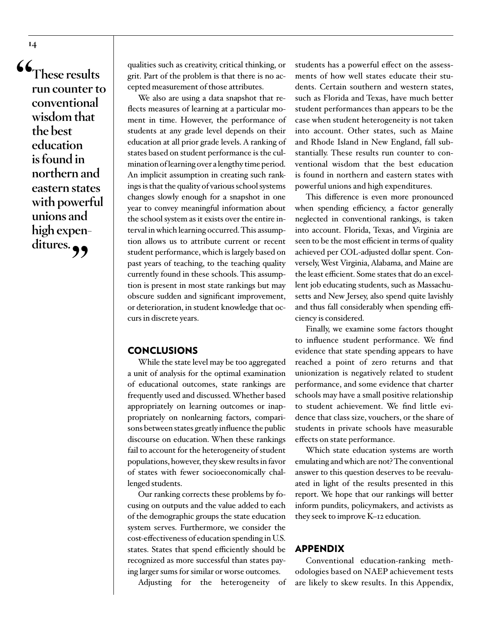**"These results run counter to conventional wisdom that the best education is found in northern and eastern states with powerful unions and high expen**ditures.

qualities such as creativity, critical thinking, or grit. Part of the problem is that there is no accepted measurement of those attributes.

We also are using a data snapshot that reflects measures of learning at a particular moment in time. However, the performance of students at any grade level depends on their education at all prior grade levels. A ranking of states based on student performance is the culmination of learning over a lengthy time period. An implicit assumption in creating such rankings is that the quality of various school systems changes slowly enough for a snapshot in one year to convey meaningful information about the school system as it exists over the entire interval in which learning occurred. This assumption allows us to attribute current or recent student performance, which is largely based on past years of teaching, to the teaching quality currently found in these schools. This assumption is present in most state rankings but may obscure sudden and significant improvement, or deterioration, in student knowledge that occurs in discrete years.

#### **CONCLUSIONS**

While the state level may be too aggregated a unit of analysis for the optimal examination of educational outcomes, state rankings are frequently used and discussed. Whether based appropriately on learning outcomes or inappropriately on nonlearning factors, comparisons between states greatly influence the public discourse on education. When these rankings fail to account for the heterogeneity of student populations, however, they skew results in favor of states with fewer socioeconomically challenged students.

Our ranking corrects these problems by focusing on outputs and the value added to each of the demographic groups the state education system serves. Furthermore, we consider the cost-effectiveness of education spending in U.S. states. States that spend efficiently should be recognized as more successful than states paying larger sums for similar or worse outcomes.

Adjusting for the heterogeneity of

students has a powerful effect on the assessments of how well states educate their students. Certain southern and western states, such as Florida and Texas, have much better student performances than appears to be the case when student heterogeneity is not taken into account. Other states, such as Maine and Rhode Island in New England, fall substantially. These results run counter to conventional wisdom that the best education is found in northern and eastern states with powerful unions and high expenditures.

This difference is even more pronounced when spending efficiency, a factor generally neglected in conventional rankings, is taken into account. Florida, Texas, and Virginia are seen to be the most efficient in terms of quality achieved per COL-adjusted dollar spent. Conversely, West Virginia, Alabama, and Maine are the least efficient. Some states that do an excellent job educating students, such as Massachusetts and New Jersey, also spend quite lavishly and thus fall considerably when spending efficiency is considered.

Finally, we examine some factors thought to influence student performance. We find evidence that state spending appears to have reached a point of zero returns and that unionization is negatively related to student performance, and some evidence that charter schools may have a small positive relationship to student achievement. We find little evidence that class size, vouchers, or the share of students in private schools have measurable effects on state performance.

Which state education systems are worth emulating and which are not? The conventional answer to this question deserves to be reevaluated in light of the results presented in this report. We hope that our rankings will better inform pundits, policymakers, and activists as they seek to improve K–12 education.

#### APPENDIX

Conventional education-ranking methodologies based on NAEP achievement tests are likely to skew results. In this Appendix,

**14**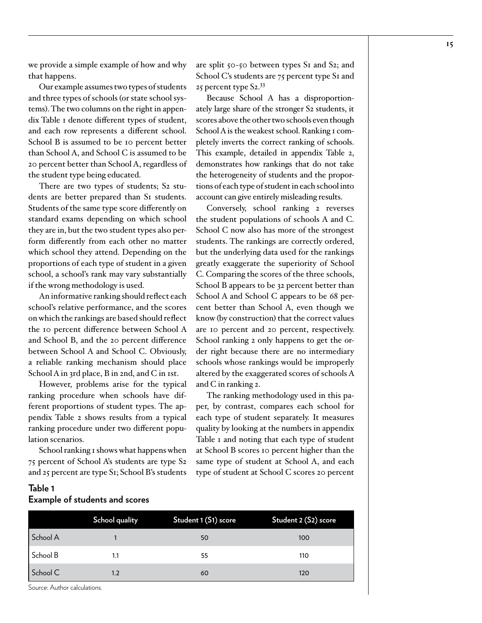we provide a simple example of how and why that happens.

Our example assumes two types of students and three types of schools (or state school systems). The two columns on the right in appendix Table 1 denote different types of student, and each row represents a different school. School B is assumed to be 10 percent better than School A, and School C is assumed to be 20 percent better than School A, regardless of the student type being educated.

There are two types of students; S2 students are better prepared than S<sub>1</sub> students. Students of the same type score differently on standard exams depending on which school they are in, but the two student types also perform differently from each other no matter which school they attend. Depending on the proportions of each type of student in a given school, a school's rank may vary substantially if the wrong methodology is used.

An informative ranking should reflect each school's relative performance, and the scores on which the rankings are based should reflect the 10 percent difference between School A and School B, and the 20 percent difference between School A and School C. Obviously, a reliable ranking mechanism should place School A in 3rd place, B in 2nd, and C in 1st.

However, problems arise for the typical ranking procedure when schools have different proportions of student types. The appendix Table 2 shows results from a typical ranking procedure under two different population scenarios.

School ranking 1 shows what happens when 75 percent of School A's students are type S2 and 25 percent are type S1; School B's students are split 50-50 between types S1 and S2; and School C's students are 75 percent type S<sub>I</sub> and 25 percent type  $S_2$ .  $33$ 

Because School A has a disproportionately large share of the stronger S2 students, it scores above the other two schools even though School A is the weakest school. Ranking 1 completely inverts the correct ranking of schools. This example, detailed in appendix Table 2, demonstrates how rankings that do not take the heterogeneity of students and the proportions of each type of student in each school into account can give entirely misleading results.

Conversely, school ranking 2 reverses the student populations of schools A and C. School C now also has more of the strongest students. The rankings are correctly ordered, but the underlying data used for the rankings greatly exaggerate the superiority of School C. Comparing the scores of the three schools, School B appears to be 32 percent better than School A and School C appears to be 68 percent better than School A, even though we know (by construction) that the correct values are 10 percent and 20 percent, respectively. School ranking 2 only happens to get the order right because there are no intermediary schools whose rankings would be improperly altered by the exaggerated scores of schools A and C in ranking 2.

The ranking methodology used in this paper, by contrast, compares each school for each type of student separately. It measures quality by looking at the numbers in appendix Table I and noting that each type of student at School B scores 10 percent higher than the same type of student at School A, and each type of student at School C scores 20 percent

|          | School quality | Student 1 (S1) score | Student 2 (S2) score |
|----------|----------------|----------------------|----------------------|
| School A |                | 50                   | 100                  |
| School B | 1.1            | 55                   | 110                  |
| School C | 1.2            | 60                   | 120                  |

# **Table 1 Example of students and scores**

Source: Author calculations.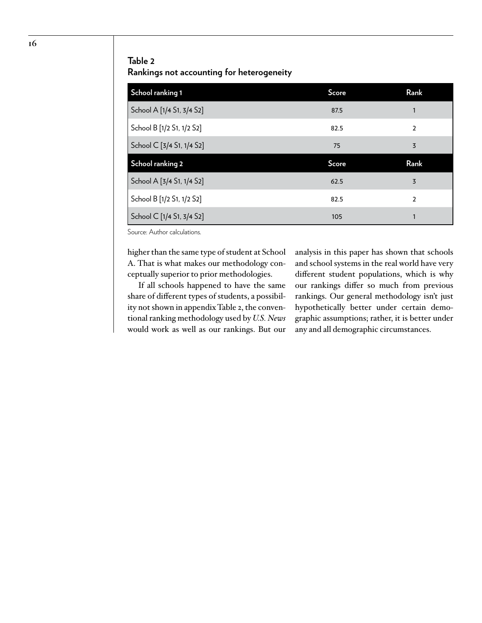#### **Table 2**

**Rankings not accounting for heterogeneity**

| School ranking 1          | Score | Rank           |
|---------------------------|-------|----------------|
| School A [1/4 S1, 3/4 S2] | 87.5  | 1              |
| School B [1/2 S1, 1/2 S2] | 82.5  | $\overline{2}$ |
| School C [3/4 S1, 1/4 S2] | 75    | 3              |
|                           |       |                |
| School ranking 2          | Score | Rank           |
| School A [3/4 S1, 1/4 S2] | 62.5  | 3              |
| School B [1/2 S1, 1/2 S2] | 82.5  | $\overline{2}$ |

Source: Author calculations.

higher than the same type of student at School A. That is what makes our methodology conceptually superior to prior methodologies.

If all schools happened to have the same share of different types of students, a possibility not shown in appendix Table 2, the conventional ranking methodology used by *U.S. News* would work as well as our rankings. But our analysis in this paper has shown that schools and school systems in the real world have very different student populations, which is why our rankings differ so much from previous rankings. Our general methodology isn't just hypothetically better under certain demographic assumptions; rather, it is better under any and all demographic circumstances.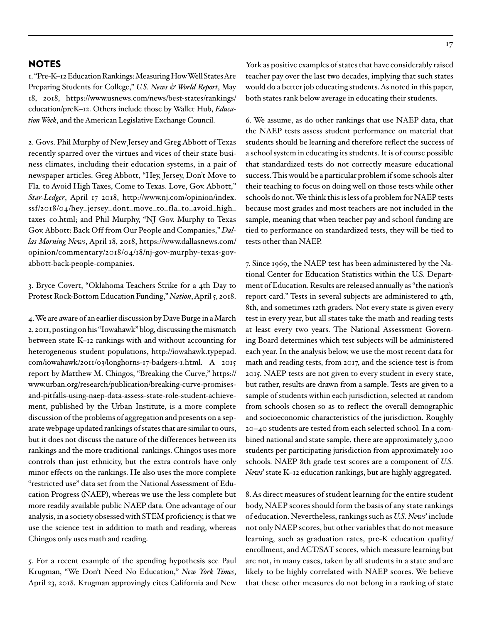#### NOTES

1. "Pre-K–12 Education Rankings: Measuring How Well States Are Preparing Students for College," *U.S. News & World Report*, May 18, 2018, [https://www.usnews.com/news/best-states/rankings/](https://www.usnews.com/news/best-states/rankings/education/prek-12) [education/preK–12](https://www.usnews.com/news/best-states/rankings/education/prek-12). Others include those by Wallet Hub, *Education Week*, and the American Legislative Exchange Council.

2. Govs. Phil Murphy of New Jersey and Greg Abbott of Texas recently sparred over the virtues and vices of their state business climates, including their education systems, in a pair of newspaper articles. Greg Abbott, "Hey, Jersey, Don't Move to Fla. to Avoid High Taxes, Come to Texas. Love, Gov. Abbott," *Star-Ledger*, April 17 2018, [http://www.nj.com/opinion/index.](http://www.nj.com/opinion/index.ssf/2018/04/hey_jersey_dont_move_to_fla_to_avoid_high_taxes_co.html) [ssf/2018/04/hey\\_jersey\\_dont\\_move\\_to\\_fla\\_to\\_avoid\\_high\\_](http://www.nj.com/opinion/index.ssf/2018/04/hey_jersey_dont_move_to_fla_to_avoid_high_taxes_co.html) [taxes\\_co.html;](http://www.nj.com/opinion/index.ssf/2018/04/hey_jersey_dont_move_to_fla_to_avoid_high_taxes_co.html) and Phil Murphy, "NJ Gov. Murphy to Texas Gov. Abbott: Back Off from Our People and Companies," *Dallas Morning News*, April 18, 2018, [https://www.dallasnews.com/](https://www.dallasnews.com/opinion/commentary/2018/04/18/nj-gov-murphy-texas-gov-abbott-back-people-companies) [opinion/commentary/2018/04/18/nj-gov-murphy-texas-gov](https://www.dallasnews.com/opinion/commentary/2018/04/18/nj-gov-murphy-texas-gov-abbott-back-people-companies)[abbott-back-people-companies](https://www.dallasnews.com/opinion/commentary/2018/04/18/nj-gov-murphy-texas-gov-abbott-back-people-companies).

3. Bryce Covert, "Oklahoma Teachers Strike for a 4th Day to Protest Rock-Bottom Education Funding," *Nation*, April 5, 2018.

4. We are aware of an earlier discussion by Dave Burge in a March 2, 2011, posting on his "Iowahawk" blog, discussing the mismatch between state K–12 rankings with and without accounting for heterogeneous student populations, [http://iowahawk.typepad.](http://iowahawk.typepad.com/iowahawk/2011/03/longhorns-17-badgers-1.html) [com/iowahawk/2011/03/longhorns-17-badgers-1.html.](http://iowahawk.typepad.com/iowahawk/2011/03/longhorns-17-badgers-1.html) A 2015 report by Matthew M. Chingos, "Breaking the Curve," https:// www.urban.org/research/publication/breaking-curve-promisesand-pitfalls-using-naep-data-assess-state-role-student-achievement, published by the Urban Institute, is a more complete discussion of the problems of aggregation and presents on a separate webpage updated rankings of states that are similar to ours, but it does not discuss the nature of the differences between its rankings and the more traditional rankings. Chingos uses more controls than just ethnicity, but the extra controls have only minor effects on the rankings. He also uses the more complete "restricted use" data set from the National Assessment of Education Progress (NAEP), whereas we use the less complete but more readily available public NAEP data. One advantage of our analysis, in a society obsessed with STEM proficiency, is that we use the science test in addition to math and reading, whereas Chingos only uses math and reading.

5. For a recent example of the spending hypothesis see Paul Krugman, "We Don't Need No Education," *New York Times*, April 23, 2018. Krugman approvingly cites California and New York as positive examples of states that have considerably raised teacher pay over the last two decades, implying that such states would do a better job educating students. As noted in this paper, both states rank below average in educating their students.

6. We assume, as do other rankings that use NAEP data, that the NAEP tests assess student performance on material that students should be learning and therefore reflect the success of a school system in educating its students. It is of course possible that standardized tests do not correctly measure educational success. This would be a particular problem if some schools alter their teaching to focus on doing well on those tests while other schools do not. We think this is less of a problem for NAEP tests because most grades and most teachers are not included in the sample, meaning that when teacher pay and school funding are tied to performance on standardized tests, they will be tied to tests other than NAEP.

7. Since 1969, the NAEP test has been administered by the National Center for Education Statistics within the U.S. Department of Education. Results are released annually as "the nation's report card." Tests in several subjects are administered to 4th, 8th, and sometimes 12th graders. Not every state is given every test in every year, but all states take the math and reading tests at least every two years. The National Assessment Governing Board determines which test subjects will be administered each year. In the analysis below, we use the most recent data for math and reading tests, from 2017, and the science test is from 2015. NAEP tests are not given to every student in every state, but rather, results are drawn from a sample. Tests are given to a sample of students within each jurisdiction, selected at random from schools chosen so as to reflect the overall demographic and socioeconomic characteristics of the jurisdiction. Roughly 20–40 students are tested from each selected school. In a combined national and state sample, there are approximately 3,000 students per participating jurisdiction from approximately 100 schools. NAEP 8th grade test scores are a component of *U.S. News*' state K–12 education rankings, but are highly aggregated.

8. As direct measures of student learning for the entire student body, NAEP scores should form the basis of any state rankings of education. Nevertheless, rankings such as *U.S. News*' include not only NAEP scores, but other variables that do not measure learning, such as graduation rates, pre-K education quality/ enrollment, and ACT/SAT scores, which measure learning but are not, in many cases, taken by all students in a state and are likely to be highly correlated with NAEP scores. We believe that these other measures do not belong in a ranking of state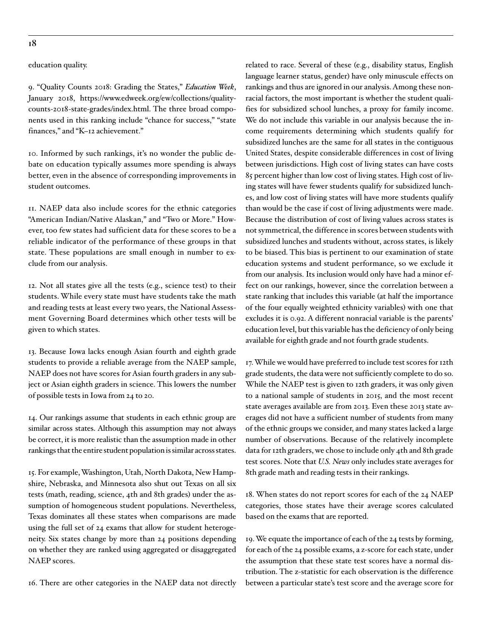#### **18**

education quality.

9. "Quality Counts 2018: Grading the States," *Education Week*, January 2018, [https://www.edweek.org/ew/collections/quality](https://www.edweek.org/ew/collections/quality-counts-2018-state-grades/index.html)[counts-2018-state-grades/index.html](https://www.edweek.org/ew/collections/quality-counts-2018-state-grades/index.html). The three broad components used in this ranking include "chance for success," "state finances," and "K–12 achievement."

10. Informed by such rankings, it's no wonder the public debate on education typically assumes more spending is always better, even in the absence of corresponding improvements in student outcomes.

11. NAEP data also include scores for the ethnic categories "American Indian/Native Alaskan," and "Two or More." However, too few states had sufficient data for these scores to be a reliable indicator of the performance of these groups in that state. These populations are small enough in number to exclude from our analysis.

12. Not all states give all the tests (e.g., science test) to their students. While every state must have students take the math and reading tests at least every two years, the National Assessment Governing Board determines which other tests will be given to which states.

13. Because Iowa lacks enough Asian fourth and eighth grade students to provide a reliable average from the NAEP sample, NAEP does not have scores for Asian fourth graders in any subject or Asian eighth graders in science. This lowers the number of possible tests in Iowa from 24 to 20.

14. Our rankings assume that students in each ethnic group are similar across states. Although this assumption may not always be correct, it is more realistic than the assumption made in other rankings that the entire student population is similar across states.

15. For example, Washington, Utah, North Dakota, New Hampshire, Nebraska, and Minnesota also shut out Texas on all six tests (math, reading, science, 4th and 8th grades) under the assumption of homogeneous student populations. Nevertheless, Texas dominates all these states when comparisons are made using the full set of 24 exams that allow for student heterogeneity. Six states change by more than 24 positions depending on whether they are ranked using aggregated or disaggregated NAEP scores.

16. There are other categories in the NAEP data not directly

related to race. Several of these (e.g., disability status, English language learner status, gender) have only minuscule effects on rankings and thus are ignored in our analysis. Among these nonracial factors, the most important is whether the student qualifies for subsidized school lunches, a proxy for family income. We do not include this variable in our analysis because the income requirements determining which students qualify for subsidized lunches are the same for all states in the contiguous United States, despite considerable differences in cost of living between jurisdictions. High cost of living states can have costs 85 percent higher than low cost of living states. High cost of living states will have fewer students qualify for subsidized lunches, and low cost of living states will have more students qualify than would be the case if cost of living adjustments were made. Because the distribution of cost of living values across states is not symmetrical, the difference in scores between students with subsidized lunches and students without, across states, is likely to be biased. This bias is pertinent to our examination of state education systems and student performance, so we exclude it from our analysis. Its inclusion would only have had a minor effect on our rankings, however, since the correlation between a state ranking that includes this variable (at half the importance of the four equally weighted ethnicity variables) with one that excludes it is 0.92. A different nonracial variable is the parents' education level, but this variable has the deficiency of only being available for eighth grade and not fourth grade students.

17. While we would have preferred to include test scores for 12th grade students, the data were not sufficiently complete to do so. While the NAEP test is given to 12th graders, it was only given to a national sample of students in 2015, and the most recent state averages available are from 2013. Even these 2013 state averages did not have a sufficient number of students from many of the ethnic groups we consider, and many states lacked a large number of observations. Because of the relatively incomplete data for 12th graders, we chose to include only 4th and 8th grade test scores. Note that *U.S. News* only includes state averages for 8th grade math and reading tests in their rankings.

18. When states do not report scores for each of the 24 NAEP categories, those states have their average scores calculated based on the exams that are reported.

19. We equate the importance of each of the 24 tests by forming, for each of the 24 possible exams, a z-score for each state, under the assumption that these state test scores have a normal distribution. The z-statistic for each observation is the difference between a particular state's test score and the average score for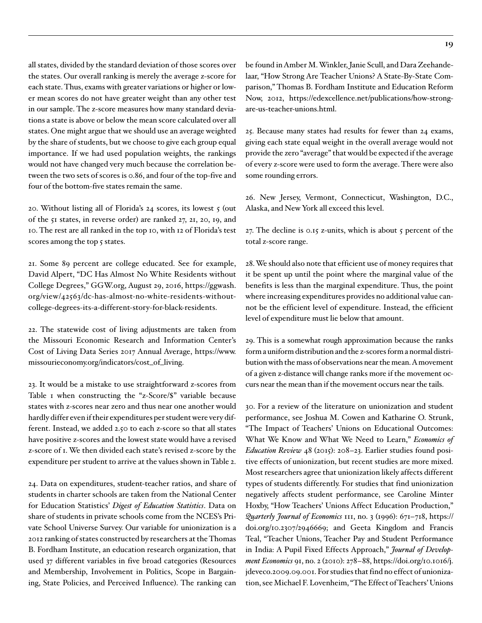all states, divided by the standard deviation of those scores over the states. Our overall ranking is merely the average z-score for each state. Thus, exams with greater variations or higher or lower mean scores do not have greater weight than any other test in our sample. The z-score measures how many standard deviations a state is above or below the mean score calculated over all states. One might argue that we should use an average weighted by the share of students, but we choose to give each group equal importance. If we had used population weights, the rankings would not have changed very much because the correlation between the two sets of scores is 0.86, and four of the top-five and four of the bottom-five states remain the same.

20. Without listing all of Florida's 24 scores, its lowest 5 (out of the 51 states, in reverse order) are ranked 27, 21, 20, 19, and 10. The rest are all ranked in the top 10, with 12 of Florida's test scores among the top 5 states.

21. Some 89 percent are college educated. See for example, David Alpert, "DC Has Almost No White Residents without College Degrees," GGW.org, August 29, 2016, [https://ggwash.](https://ggwash.org/view/42563/dc-has-almost-no-white-residents-without-college-degrees-its-a-different-story-for-black-residents) [org/view/42563/dc-has-almost-no-white-residents-without](https://ggwash.org/view/42563/dc-has-almost-no-white-residents-without-college-degrees-its-a-different-story-for-black-residents)[college-degrees-its-a-different-story-for-black-residents.](https://ggwash.org/view/42563/dc-has-almost-no-white-residents-without-college-degrees-its-a-different-story-for-black-residents)

22. The statewide cost of living adjustments are taken from the Missouri Economic Research and Information Center's Cost of Living Data Series 2017 Annual Average, [https://www.](https://www.missourieconomy.org/indicators/cost_of_living) [missourieconomy.org/indicators/cost\\_of\\_living](https://www.missourieconomy.org/indicators/cost_of_living).

23. It would be a mistake to use straightforward z-scores from Table 1 when constructing the "z-Score/\$" variable because states with z-scores near zero and thus near one another would hardly differ even if their expenditures per student were very different. Instead, we added 2.50 to each z-score so that all states have positive z-scores and the lowest state would have a revised z-score of 1. We then divided each state's revised z-score by the expenditure per student to arrive at the values shown in Table 2.

24. Data on expenditures, student-teacher ratios, and share of students in charter schools are taken from the National Center for Education Statistics' *Digest of Education Statistics*. Data on share of students in private schools come from the NCES's Private School Universe Survey. Our variable for unionization is a 2012 ranking of states constructed by researchers at the Thomas B. Fordham Institute, an education research organization, that used 37 different variables in five broad categories (Resources and Membership, Involvement in Politics, Scope in Bargaining, State Policies, and Perceived Influence). The ranking can

be found in Amber M. Winkler, Janie Scull, and Dara Zeehandelaar, "How Strong Are Teacher Unions? A State-By-State Comparison," Thomas B. Fordham Institute and Education Reform Now, 2012, [https://edexcellence.net/publications/how-strong](https://edexcellence.net/publications/how-strong-are-us-teacher-unions.html)[are-us-teacher-unions.html](https://edexcellence.net/publications/how-strong-are-us-teacher-unions.html).

25. Because many states had results for fewer than 24 exams, giving each state equal weight in the overall average would not provide the zero "average" that would be expected if the average of every z-score were used to form the average. There were also some rounding errors.

26. New Jersey, Vermont, Connecticut, Washington, D.C., Alaska, and New York all exceed this level.

27. The decline is 0.15 z-units, which is about 5 percent of the total z-score range.

28. We should also note that efficient use of money requires that it be spent up until the point where the marginal value of the benefits is less than the marginal expenditure. Thus, the point where increasing expenditures provides no additional value cannot be the efficient level of expenditure. Instead, the efficient level of expenditure must lie below that amount.

29. This is a somewhat rough approximation because the ranks form a uniform distribution and the z-scores form a normal distribution with the mass of observations near the mean. A movement of a given z-distance will change ranks more if the movement occurs near the mean than if the movement occurs near the tails.

30. For a review of the literature on unionization and student performance, see Joshua M. Cowen and Katharine O. Strunk, "The Impact of Teachers' Unions on Educational Outcomes: What We Know and What We Need to Learn," *Economics of Education Review* 48 (2015): 208–23. Earlier studies found positive effects of unionization, but recent studies are more mixed. Most researchers agree that unionization likely affects different types of students differently. For studies that find unionization negatively affects student performance, see Caroline Minter Hoxby, "How Teachers' Unions Affect Education Production," *Quarterly Journal of Economics* 111, no. 3 (1996): 671–718, [https://](https://doi.org/10.2307/2946669) [doi.org/10.2307/2946669;](https://doi.org/10.2307/2946669) and Geeta Kingdom and Francis Teal, "Teacher Unions, Teacher Pay and Student Performance in India: A Pupil Fixed Effects Approach," *Journal of Development Economics* 91, no. 2 (2010): 278–88, [https://doi.org/10.1016/j.](https://doi.org/10.1016/j.jdeveco.2009.09.001) [jdeveco.2009.09.001.](https://doi.org/10.1016/j.jdeveco.2009.09.001) For studies that find no effect of unionization, see Michael F. Lovenheim, "The Effect of Teachers' Unions